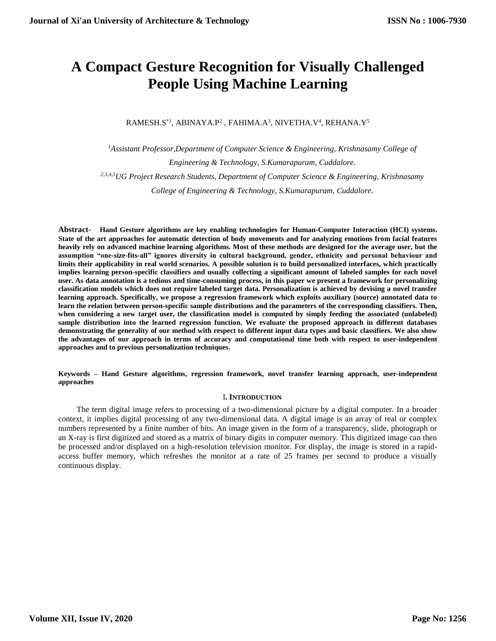# **A Compact Gesture Recognition for Visually Challenged People Using Machine Learning**

 $\mathsf{RAMESH.S}^{*1}\!,\, \mathsf{ABINAYA.P^2}\,,\, \mathsf{FAHIMA.A^3}\!,\, \mathsf{NIVETHA.V^4}\!,\, \mathsf{REHANA.Y^5}\!,\,$ 

*<sup>1</sup>Assistant Professor,Department of Computer Science & Engineering, Krishnasamy College of Engineering & Technology, S.Kumarapuram, Cuddalore. 2,3,4,5UG Project Research Students, Department of Computer Science & Engineering, Krishnasamy College of Engineering & Technology, S.Kumarapuram, Cuddalore.*

**Abstract**- **Hand Gesture algorithms are key enabling technologies for Human-Computer Interaction (HCI) systems. State of the art approaches for automatic detection of body movements and for analyzing emotions from facial features heavily rely on advanced machine learning algorithms. Most of these methods are designed for the average user, but the assumption "one-size-fits-all" ignores diversity in cultural background, gender, ethnicity and personal behaviour and limits their applicability in real world scenarios. A possible solution is to build personalized interfaces, which practically implies learning person-specific classifiers and usually collecting a significant amount of labeled samples for each novel user. As data annotation is a tedious and time-consuming process, in this paper we present a framework for personalizing classification models which does not require labeled target data. Personalization is achieved by devising a novel transfer learning approach. Specifically, we propose a regression framework which exploits auxiliary (source) annotated data to learn the relation between person-specific sample distributions and the parameters of the corresponding classifiers. Then, when considering a new target user, the classification model is computed by simply feeding the associated (unlabeled) sample distribution into the learned regression function. We evaluate the proposed approach in different databases demonstrating the generality of our method with respect to different input data types and basic classifiers. We also show the advantages of our approach in terms of accuracy and computational time both with respect to user-independent approaches and to previous personalization techniques.**

**Keywords – Hand Gesture algorithms, regression framework, novel transfer learning approach, user-independent approaches**

# I**. INTRODUCTION**

The term digital image refers to processing of a two-dimensional picture by a digital computer. In a broader context, it implies digital processing of any two-dimensional data. A digital image is an array of real or complex numbers represented by a finite number of bits. An image given in the form of a transparency, slide, photograph or an X-ray is first digitized and stored as a matrix of binary digits in computer memory. This digitized image can then be processed and/or displayed on a high-resolution television monitor. For display, the image is stored in a rapidaccess buffer memory, which refreshes the monitor at a rate of 25 frames per second to produce a visually continuous display.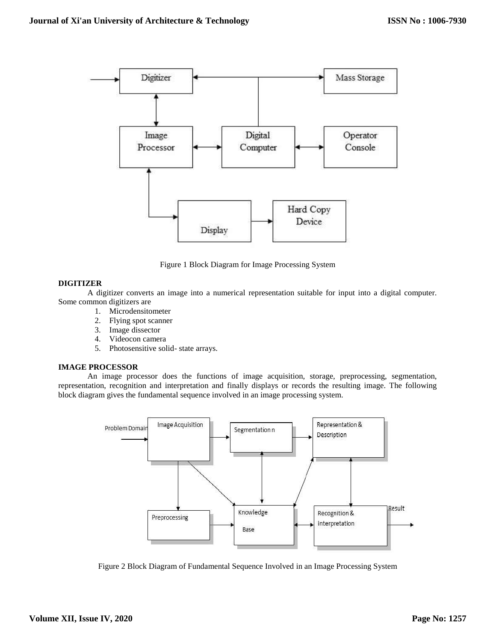

Figure 1 Block Diagram for Image Processing System

# **DIGITIZER**

A digitizer converts an image into a numerical representation suitable for input into a digital computer. Some common digitizers are

- 1. Microdensitometer
- 2. Flying spot scanner
- 3. Image dissector
- 4. Videocon camera
- 5. Photosensitive solid- state arrays.

# **IMAGE PROCESSOR**

An image processor does the functions of image acquisition, storage, preprocessing, segmentation, representation, recognition and interpretation and finally displays or records the resulting image. The following block diagram gives the fundamental sequence involved in an image processing system.



Figure 2 Block Diagram of Fundamental Sequence Involved in an Image Processing System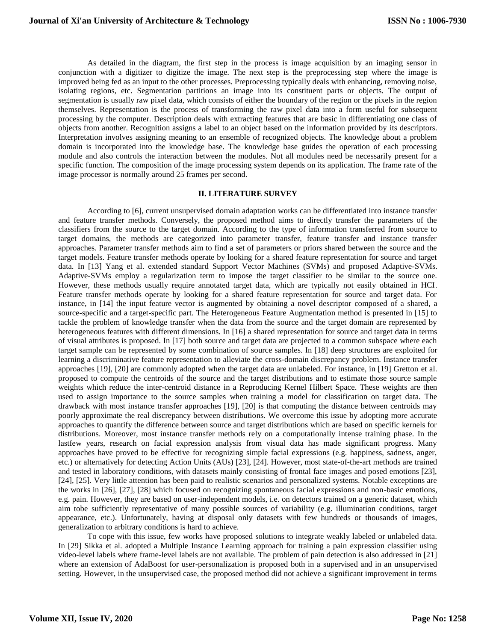As detailed in the diagram, the first step in the process is image acquisition by an imaging sensor in conjunction with a digitizer to digitize the image. The next step is the preprocessing step where the image is improved being fed as an input to the other processes. Preprocessing typically deals with enhancing, removing noise, isolating regions, etc. Segmentation partitions an image into its constituent parts or objects. The output of segmentation is usually raw pixel data, which consists of either the boundary of the region or the pixels in the region themselves. Representation is the process of transforming the raw pixel data into a form useful for subsequent processing by the computer. Description deals with extracting features that are basic in differentiating one class of objects from another. Recognition assigns a label to an object based on the information provided by its descriptors. Interpretation involves assigning meaning to an ensemble of recognized objects. The knowledge about a problem domain is incorporated into the knowledge base. The knowledge base guides the operation of each processing module and also controls the interaction between the modules. Not all modules need be necessarily present for a specific function. The composition of the image processing system depends on its application. The frame rate of the image processor is normally around 25 frames per second.

## **II. LITERATURE SURVEY**

According to [6], current unsupervised domain adaptation works can be differentiated into instance transfer and feature transfer methods. Conversely, the proposed method aims to directly transfer the parameters of the classifiers from the source to the target domain. According to the type of information transferred from source to target domains, the methods are categorized into parameter transfer, feature transfer and instance transfer approaches. Parameter transfer methods aim to find a set of parameters or priors shared between the source and the target models. Feature transfer methods operate by looking for a shared feature representation for source and target data. In [13] Yang et al. extended standard Support Vector Machines (SVMs) and proposed Adaptive-SVMs. Adaptive-SVMs employ a regularization term to impose the target classifier to be similar to the source one. However, these methods usually require annotated target data, which are typically not easily obtained in HCI. Feature transfer methods operate by looking for a shared feature representation for source and target data. For instance, in [14] the input feature vector is augmented by obtaining a novel descriptor composed of a shared, a source-specific and a target-specific part. The Heterogeneous Feature Augmentation method is presented in [15] to tackle the problem of knowledge transfer when the data from the source and the target domain are represented by heterogeneous features with different dimensions. In [16] a shared representation for source and target data in terms of visual attributes is proposed. In [17] both source and target data are projected to a common subspace where each target sample can be represented by some combination of source samples. In [18] deep structures are exploited for learning a discriminative feature representation to alleviate the cross-domain discrepancy problem. Instance transfer approaches [19], [20] are commonly adopted when the target data are unlabeled. For instance, in [19] Gretton et al. proposed to compute the centroids of the source and the target distributions and to estimate those source sample weights which reduce the inter-centroid distance in a Reproducing Kernel Hilbert Space. These weights are then used to assign importance to the source samples when training a model for classification on target data. The drawback with most instance transfer approaches [19], [20] is that computing the distance between centroids may poorly approximate the real discrepancy between distributions. We overcome this issue by adopting more accurate approaches to quantify the difference between source and target distributions which are based on specific kernels for distributions. Moreover, most instance transfer methods rely on a computationally intense training phase. In the lastfew years, research on facial expression analysis from visual data has made significant progress. Many approaches have proved to be effective for recognizing simple facial expressions (e.g. happiness, sadness, anger, etc.) or alternatively for detecting Action Units (AUs) [23], [24]. However, most state-of-the-art methods are trained and tested in laboratory conditions, with datasets mainly consisting of frontal face images and posed emotions [23], [24], [25]. Very little attention has been paid to realistic scenarios and personalized systems. Notable exceptions are the works in [26], [27], [28] which focused on recognizing spontaneous facial expressions and non-basic emotions, e.g. pain. However, they are based on user-independent models, i.e. on detectors trained on a generic dataset, which aim tobe sufficiently representative of many possible sources of variability (e.g. illumination conditions, target appearance, etc.). Unfortunately, having at disposal only datasets with few hundreds or thousands of images, generalization to arbitrary conditions is hard to achieve.

To cope with this issue, few works have proposed solutions to integrate weakly labeled or unlabeled data. In [29] Sikka et al. adopted a Multiple Instance Learning approach for training a pain expression classifier using video-level labels where frame-level labels are not available. The problem of pain detection is also addressed in [21] where an extension of AdaBoost for user-personalization is proposed both in a supervised and in an unsupervised setting. However, in the unsupervised case, the proposed method did not achieve a significant improvement in terms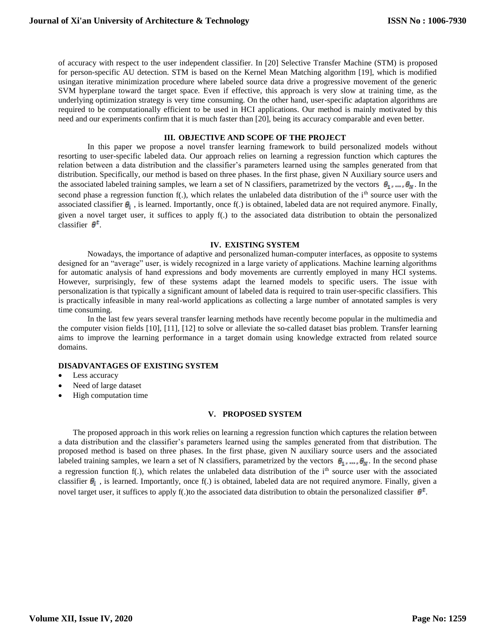of accuracy with respect to the user independent classifier. In [20] Selective Transfer Machine (STM) is proposed for person-specific AU detection. STM is based on the Kernel Mean Matching algorithm [19], which is modified usingan iterative minimization procedure where labeled source data drive a progressive movement of the generic SVM hyperplane toward the target space. Even if effective, this approach is very slow at training time, as the underlying optimization strategy is very time consuming. On the other hand, user-specific adaptation algorithms are required to be computationally efficient to be used in HCI applications. Our method is mainly motivated by this need and our experiments confirm that it is much faster than [20], being its accuracy comparable and even better.

# **III. OBJECTIVE AND SCOPE OF THE PROJECT**

In this paper we propose a novel transfer learning framework to build personalized models without resorting to user-specific labeled data. Our approach relies on learning a regression function which captures the relation between a data distribution and the classifier's parameters learned using the samples generated from that distribution. Specifically, our method is based on three phases. In the first phase, given N Auxiliary source users and the associated labeled training samples, we learn a set of N classifiers, parametrized by the vectors  $\theta_1, \dots, \theta_N$ . In the second phase a regression function  $f(.)$ , which relates the unlabeled data distribution of the  $i<sup>th</sup>$  source user with the associated classifier  $\theta_i$ , is learned. Importantly, once  $f(.)$  is obtained, labeled data are not required anymore. Finally, given a novel target user, it suffices to apply f(.) to the associated data distribution to obtain the personalized classifier  $\theta^t$ .

## **IV. EXISTING SYSTEM**

Nowadays, the importance of adaptive and personalized human-computer interfaces, as opposite to systems designed for an "average" user, is widely recognized in a large variety of applications. Machine learning algorithms for automatic analysis of hand expressions and body movements are currently employed in many HCI systems. However, surprisingly, few of these systems adapt the learned models to specific users. The issue with personalization is that typically a significant amount of labeled data is required to train user-specific classifiers. This is practically infeasible in many real-world applications as collecting a large number of annotated samples is very time consuming.

In the last few years several transfer learning methods have recently become popular in the multimedia and the computer vision fields [10], [11], [12] to solve or alleviate the so-called dataset bias problem. Transfer learning aims to improve the learning performance in a target domain using knowledge extracted from related source domains.

#### **DISADVANTAGES OF EXISTING SYSTEM**

- Less accuracy
- Need of large dataset
- High computation time

#### **V. PROPOSED SYSTEM**

The proposed approach in this work relies on learning a regression function which captures the relation between a data distribution and the classifier's parameters learned using the samples generated from that distribution. The proposed method is based on three phases. In the first phase, given N auxiliary source users and the associated labeled training samples, we learn a set of N classifiers, parametrized by the vectors  $\theta_1, \dots, \theta_N$ . In the second phase a regression function f(.), which relates the unlabeled data distribution of the i<sup>th</sup> source user with the associated classifier  $\theta_i$ , is learned. Importantly, once f(.) is obtained, labeled data are not required anymore. Finally, given a novel target user, it suffices to apply f(.) to the associated data distribution to obtain the personalized classifier  $\theta^t$ .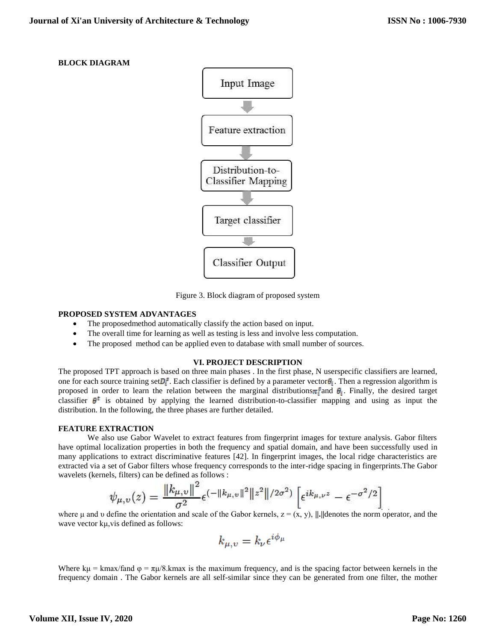# **BLOCK DIAGRAM**



Figure 3. Block diagram of proposed system

# **PROPOSED SYSTEM ADVANTAGES**

- The proposedmethod automatically classify the action based on input.
- The overall time for learning as well as testing is less and involve less computation.
- The proposed method can be applied even to database with small number of sources.

# **VI. PROJECT DESCRIPTION**

The proposed TPT approach is based on three main phases . In the first phase, N userspecific classifiers are learned, one for each source training set  $D_i^s$ . Each classifier is defined by a parameter vector  $\theta_i$ . Then a regression algorithm is proposed in order to learn the relation between the marginal distributions  $\pi_i^s$  and  $\theta_i$ . Finally, the desired target classifier  $\theta^t$  is obtained by applying the learned distribution-to-classifier mapping and using as input the distribution. In the following, the three phases are further detailed.

# **FEATURE EXTRACTION**

We also use Gabor Wavelet to extract features from fingerprint images for texture analysis. Gabor filters have optimal localization properties in both the frequency and spatial domain, and have been successfully used in many applications to extract discriminative features [42]. In fingerprint images, the local ridge characteristics are extracted via a set of Gabor filters whose frequency corresponds to the inter-ridge spacing in fingerprints.The Gabor wavelets (kernels, filters) can be defined as follows :

$$
\psi_{\mu,\nu}(z) = \frac{\|k_{\mu,\nu}\|^2}{\sigma^2} \epsilon^{(-\|k_{\mu,\nu}\|^2 \|z^2\|/2\sigma^2)} \left[\epsilon^{ik_{\mu,\nu}z} - \epsilon^{-\sigma^2/2}\right]
$$

where μ and υ define the orientation and scale of the Gabor kernels, z = (x, y), **||.||**denotes the norm operator, and the wave vector kμ,vis defined as follows:

$$
k_{\mu,\upsilon}=k_{\nu}\epsilon^{i\phi_{\mu}}
$$

Where kμ = kmax/fand  $\varphi = \pi \mu/8$ .kmax is the maximum frequency, and is the spacing factor between kernels in the frequency domain . The Gabor kernels are all self-similar since they can be generated from one filter, the mother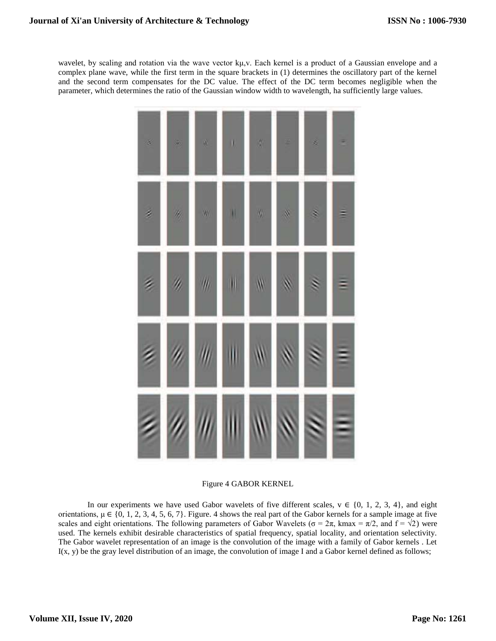wavelet, by scaling and rotation via the wave vector kμ,v. Each kernel is a product of a Gaussian envelope and a complex plane wave, while the first term in the square brackets in (1) determines the oscillatory part of the kernel and the second term compensates for the DC value. The effect of the DC term becomes negligible when the parameter, which determines the ratio of the Gaussian window width to wavelength, ha sufficiently large values.



#### Figure 4 GABOR KERNEL

In our experiments we have used Gabor wavelets of five different scales,  $v \in \{0, 1, 2, 3, 4\}$ , and eight orientations,  $\mu \in \{0, 1, 2, 3, 4, 5, 6, 7\}$ . Figure. 4 shows the real part of the Gabor kernels for a sample image at five scales and eight orientations. The following parameters of Gabor Wavelets ( $\sigma = 2\pi$ , kmax =  $\pi/2$ , and  $f = \sqrt{2}$ ) were used. The kernels exhibit desirable characteristics of spatial frequency, spatial locality, and orientation selectivity. The Gabor wavelet representation of an image is the convolution of the image with a family of Gabor kernels . Let I(x, y) be the gray level distribution of an image, the convolution of image I and a Gabor kernel defined as follows;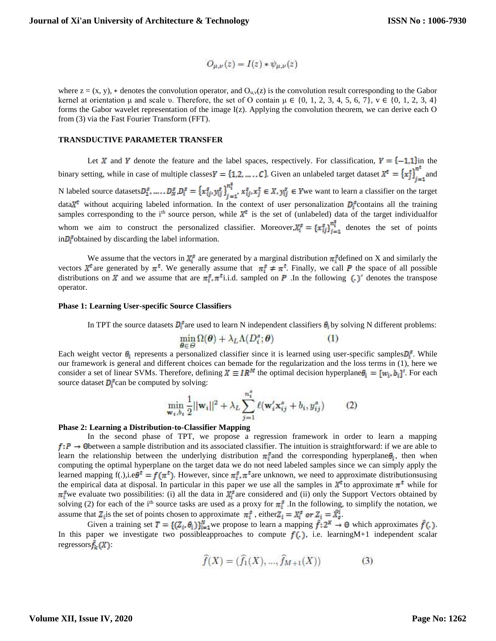$$
O_{\mu,\nu}(z) = I(z) * \psi_{\mu,\nu}(z)
$$

where  $z = (x, y)$ ,  $*$  denotes the convolution operator, and  $O_{u,v}(z)$  is the convolution result corresponding to the Gabor kernel at orientation μ and scale υ. Therefore, the set of O contain  $\mu \in \{0, 1, 2, 3, 4, 5, 6, 7\}$ ,  $\nu \in \{0, 1, 2, 3, 4\}$ forms the Gabor wavelet representation of the image I(z). Applying the convolution theorem, we can derive each O from (3) via the Fast Fourier Transform (FFT).

#### **TRANSDUCTIVE PARAMETER TRANSFER**

Let X and Y denote the feature and the label spaces, respectively. For classification,  $Y = \{-1,1\}$  in the binary setting, while in case of multiple classes  $Y = \{1, 2, ..., C\}$ . Given an unlabeled target dataset  $X^t = \{x_j^t\}_{i=1}^{n^t}$  and N labeled source datasets  $D_1^g$ ,  $\dots$ ,  $D_N^g$ ,  $D_i^g = \{x_{ij}^g, y_{ij}^g\}_{j=1}^{n_i^g}$ ,  $x_{ij}^g$ ,  $x_j^f \in X$ ,  $y_{ij}^g \in Y$  we want to learn a classifier on the target data  $X^t$  without acquiring labeled information. In the context of user personalization  $D_i^g$  contains all the training samples corresponding to the i<sup>th</sup> source person, while  $X^t$  is the set of (unlabeled) data of the target individualfor whom we aim to construct the personalized classifier. Moreover,  $X_i^s = \{x_{ij}^s\}_{i=1}^{n_i^s}$  denotes the set of points  $\text{in } D_i^s$  obtained by discarding the label information.

We assume that the vectors in  $X_i^s$  are generated by a marginal distribution  $\pi_i^s$  defined on X and similarly the vectors  $X^t$  are generated by  $\pi^t$ . We generally assume that  $\pi_i^s \neq \pi^t$ . Finally, we call **P** the space of all possible distributions on X and we assume that are  $\pi_i^s$ ,  $\pi^t$  i.i.d. sampled on P. In the following (i)' denotes the transpose operator.

#### **Phase 1: Learning User-specific Source Classifiers**

In TPT the source datasets  $D_i^{\beta}$  are used to learn N independent classifiers  $\theta_i$  by solving N different problems:

$$
\min_{\boldsymbol{\theta} \in \Theta} \Omega(\boldsymbol{\theta}) + \lambda_L \Lambda(D_i^s; \boldsymbol{\theta}) \tag{1}
$$

Each weight vector  $\theta_i$  represents a personalized classifier since it is learned using user-specific samples  $D_i^s$ . While our framework is general and different choices can bemade for the regularization and the loss terms in (1), here we consider a set of linear SVMs. Therefore, defining  $X \equiv IR^M$  the optimal decision hyperplane  $\theta_i = [w_i, b_i]'$ . For each source dataset  $D_i^s$  can be computed by solving:

$$
\min_{\mathbf{w}_i, b_i} \frac{1}{2} ||\mathbf{w}_i||^2 + \lambda_L \sum_{j=1}^{n_i^2} \ell(\mathbf{w}_i' \mathbf{x}_{ij}^s + b_i, y_{ij}^s)
$$
 (2)

#### **Phase 2: Learning a Distribution-to-Classifier Mapping**

In the second phase of TPT, we propose a regression framework in order to learn a mapping  $f: P \to \Theta$  between a sample distribution and its associated classifier. The intuition is straightforward: if we are able to learn the relationship between the underlying distribution  $\pi_i^s$  and the corresponding hyperplane  $\theta_i$ , then when computing the optimal hyperplane on the target data we do not need labeled samples since we can simply apply the learned mapping f(.),i.e $\theta^t = f(\pi^t)$ . However, since  $\pi_i^s$ ,  $\pi^t$  are unknown, we need to approximate distributionsusing the empirical data at disposal. In particular in this paper we use all the samples in  $X^t$  to approximate  $\pi^t$  while for  $\pi_i^s$  we evaluate two possibilities: (i) all the data in  $X_i^s$  are considered and (ii) only the Support Vectors obtained by solving (2) for each of the i<sup>th</sup> source tasks are used as a proxy for  $\pi_i^s$ . In the following, to simplify the notation, we assume that  $Z_i$  is the set of points chosen to approximate  $\pi_i^g$ , either  $Z_i = X_i^g$  or  $Z_i = \hat{X}_i^i$ .

Given a training set  $T = \{ (Z_i, \theta_i) \}_{i=1}^N$  we propose to learn a mapping  $\hat{f}: 2^X \to \Theta$  which approximates  $\hat{f}(\cdot)$ . In this paper we investigate two possibleapproaches to compute  $f(.)$ , i.e. learningM+1 independent scalar regressors  $f_k(X)$ :

$$
\widehat{f}(X) = (\widehat{f}_1(X), ..., \widehat{f}_{M+1}(X))
$$
\n(3)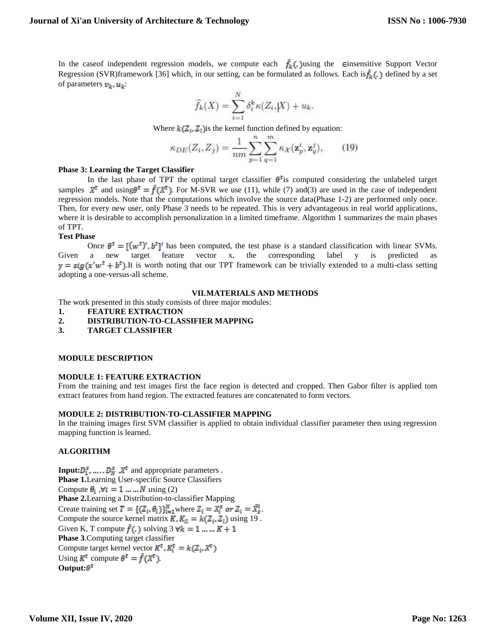In the caseof independent regression models, we compute each  $f_k$ . Jusing the  $\epsilon$  insensitive Support Vector Regression (SVR)framework [36] which, in our setting, can be formulated as follows. Each is  $f_k$ . defined by a set of parameters  $v_k$ ,  $u_k$ :

$$
\widehat{f}_k(X) = \sum_{i=1}^N \delta_i^k \kappa(Z_i, |X) + u_k.
$$

Where  $k(Z_i, Z_i)$  is the kernel function defined by equation:

$$
\kappa_{DE}(Z_i, Z_j) = \frac{1}{nm} \sum_{p=1}^n \sum_{q=1}^m \kappa_{\mathcal{X}}(\mathbf{z}_p^i, \mathbf{z}_q^j), \qquad (19)
$$

#### **Phase 3: Learning the Target Classifier**

In the last phase of TPT the optimal target classifier  $\theta^{\dagger}$  is computed considering the unlabeled target samples  $X^t$  and using  $\theta^t = \hat{f}(X^t)$ . For M-SVR we use (11), while (7) and(3) are used in the case of independent regression models. Note that the computations which involve the source data(Phase 1-2) are performed only once. Then, for every new user, only Phase 3 needs to be repeated. This is very advantageous in real world applications, where it is desirable to accomplish personalization in a limited timeframe. Algorithm 1 summarizes the main phases of TPT.

#### **Test Phase**

Once  $\theta^t = [(w^t)'$ ,  $b^t]'$  has been computed, the test phase is a standard classification with linear SVMs. Given a new target feature vector x, the corresponding label y is predicted as  $y = sig(x'w^t + b^t)$ .It is worth noting that our TPT framework can be trivially extended to a multi-class setting adopting a one-versus-all scheme.

#### **VII.MATERIALS AND METHODS**

The work presented in this study consists of three major modules:

- **1. FEATURE EXTRACTION**
- **2. DISTRIBUTION-TO-CLASSIFIER MAPPING**
- **3. TARGET CLASSIFIER**

# **MODULE DESCRIPTION**

# **MODULE 1: FEATURE EXTRACTION**

From the training and test images first the face region is detected and cropped. Then Gabor filter is applied tom extract features from hand region. The extracted features are concatenated to form vectors.

# **MODULE 2: DISTRIBUTION-TO-CLASSIFIER MAPPING**

In the training images first SVM classifier is applied to obtain individual classifier parameter then using regression mapping function is learned.

# **ALGORITHM**

**Input:**  $D_1^s$ , ....  $D_N^s$ ,  $X^t$  and appropriate parameters . **Phase 1.**Learning User-specific Source Classifiers Compute  $\theta_i$ ,  $\forall i = 1 \dots N$  using (2) **Phase 2.**Learning a Distribution-to-classifier Mapping Create training set  $T = \{ (Z_i, \theta_i) \}_{i=1}^N$  where  $Z_i = X_i^s$  or  $Z_i = \hat{X}_s^i$ . Compute the source kernel matrix  $K$ ,  $K_{il} = k(Z_i, Z_l)$  using 19. Given K, T compute  $\hat{f}(\cdot)$  solving 3  $\forall k = 1, ..., K + 1$ **Phase 3**.Computing target classifier Compute target kernel vector  $K^t$ ,  $K_i^t = k(Z_i, X^t)$ Using  $K^t$  compute  $\theta^t = \hat{f}(X^t)$ . Output: $\theta^t$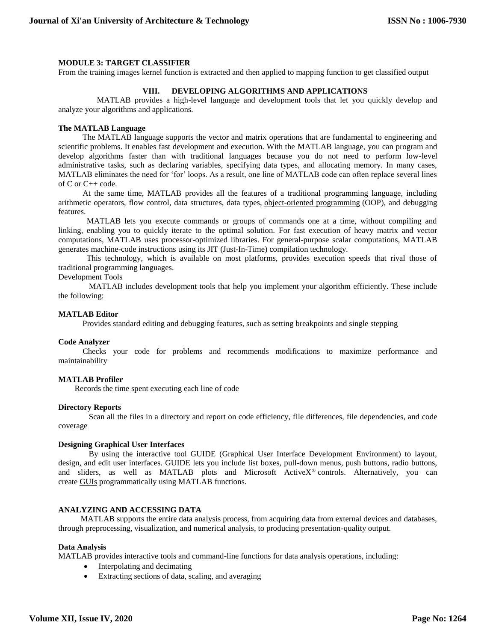# **MODULE 3: TARGET CLASSIFIER**

From the training images kernel function is extracted and then applied to mapping function to get classified output

# **VIII. DEVELOPING ALGORITHMS AND APPLICATIONS**

 MATLAB provides a high-level language and development tools that let you quickly develop and analyze your algorithms and applications.

# **The MATLAB Language**

 The MATLAB language supports the vector and matrix operations that are fundamental to engineering and scientific problems. It enables fast development and execution. With the MATLAB language, you can program and develop algorithms faster than with traditional languages because you do not need to perform low-level administrative tasks, such as declaring variables, specifying data types, and allocating memory. In many cases, MATLAB eliminates the need for 'for' loops. As a result, one line of MATLAB code can often replace several lines of C or C++ code.

 At the same time, MATLAB provides all the features of a traditional programming language, including arithmetic operators, flow control, data structures, data types, [object-oriented programming](about:blank) (OOP), and debugging features.

 MATLAB lets you execute commands or groups of commands one at a time, without compiling and linking, enabling you to quickly iterate to the optimal solution. For fast execution of heavy matrix and vector computations, MATLAB uses processor-optimized libraries. For general-purpose scalar computations, MATLAB generates machine-code instructions using its JIT (Just-In-Time) compilation technology.

 This technology, which is available on most platforms, provides execution speeds that rival those of traditional programming languages.

Development Tools

 MATLAB includes development tools that help you implement your algorithm efficiently. These include the following:

# **MATLAB Editor**

Provides standard editing and debugging features, such as setting breakpoints and single stepping

#### **Code Analyzer**

 Checks your code for problems and recommends modifications to maximize performance and maintainability

# **MATLAB Profiler**

Records the time spent executing each line of code

# **Directory Reports**

 Scan all the files in a directory and report on code efficiency, file differences, file dependencies, and code coverage

# **Designing Graphical User Interfaces**

 By using the interactive tool GUIDE (Graphical User Interface Development Environment) to layout, design, and edit user interfaces. GUIDE lets you include list boxes, pull-down menus, push buttons, radio buttons, and sliders, as well as MATLAB plots and Microsoft ActiveX® controls. Alternatively, you can create [GUIs](about:blank) programmatically using MATLAB functions.

# **ANALYZING AND ACCESSING DATA**

 MATLAB supports the entire data analysis process, from acquiring data from external devices and databases, through preprocessing, visualization, and numerical analysis, to producing presentation-quality output.

# **Data Analysis**

MATLAB provides interactive tools and command-line functions for data analysis operations, including:

- Interpolating and decimating
- Extracting sections of data, scaling, and averaging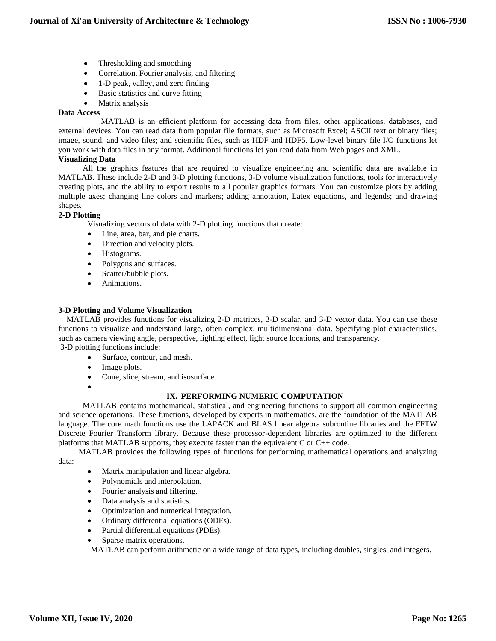- Thresholding and smoothing
- Correlation, Fourier analysis, and filtering
- 1-D peak, valley, and zero finding
- Basic statistics and curve fitting
- Matrix analysis

# **Data Access**

 MATLAB is an efficient platform for accessing data from files, other applications, databases, and external devices. You can read data from popular file formats, such as Microsoft Excel; ASCII text or binary files; image, sound, and video files; and scientific files, such as HDF and HDF5. Low-level binary file I/O functions let you work with data files in any format. Additional functions let you read data from Web pages and XML. **Visualizing Data**

 All the graphics features that are required to visualize engineering and scientific data are available in MATLAB. These include 2-D and 3-D plotting functions, 3-D volume visualization functions, tools for interactively creating plots, and the ability to export results to all popular graphics formats. You can customize plots by adding multiple axes; changing line colors and markers; adding annotation, Latex equations, and legends; and drawing shapes.

# **2-D Plotting**

Visualizing vectors of data with 2-D plotting functions that create:

- Line, area, bar, and pie charts.
- Direction and velocity plots.
- Histograms.
- Polygons and surfaces.
- Scatter/bubble plots.
- Animations.

# **3-D Plotting and Volume Visualization**

 MATLAB provides functions for visualizing 2-D matrices, 3-D scalar, and 3-D vector data. You can use these functions to visualize and understand large, often complex, multidimensional data. Specifying plot characteristics, such as camera viewing angle, perspective, lighting effect, light source locations, and transparency.

- 3-D plotting functions include: • Surface, contour, and mesh.
	- Image plots.
	-
	- Cone, slice, stream, and isosurface.
	- $\bullet$

# **IX. PERFORMING NUMERIC COMPUTATION**

 MATLAB contains mathematical, statistical, and engineering functions to support all common engineering and science operations. These functions, developed by experts in mathematics, are the foundation of the MATLAB language. The core math functions use the LAPACK and BLAS linear algebra subroutine libraries and the FFTW Discrete Fourier Transform library. Because these processor-dependent libraries are optimized to the different platforms that MATLAB supports, they execute faster than the equivalent C or C++ code.

 MATLAB provides the following types of functions for performing mathematical operations and analyzing data:

- Matrix manipulation and linear algebra.
- Polynomials and interpolation.
- Fourier analysis and filtering.
- Data analysis and statistics.
- Optimization and numerical integration.
- Ordinary differential equations (ODEs).
- Partial differential equations (PDEs).
- Sparse matrix operations.

MATLAB can perform arithmetic on a wide range of data types, including doubles, singles, and integers.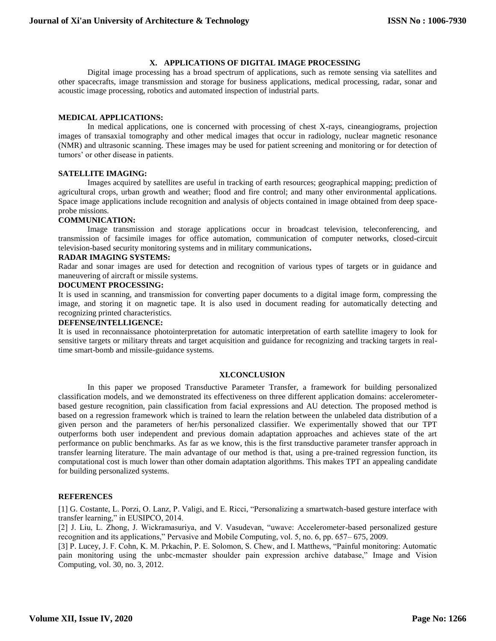# **X. APPLICATIONS OF DIGITAL IMAGE PROCESSING**

Digital image processing has a broad spectrum of applications, such as remote sensing via satellites and other spacecrafts, image transmission and storage for business applications, medical processing, radar, sonar and acoustic image processing, robotics and automated inspection of industrial parts.

## **MEDICAL APPLICATIONS:**

In medical applications, one is concerned with processing of chest X-rays, cineangiograms, projection images of transaxial tomography and other medical images that occur in radiology, nuclear magnetic resonance (NMR) and ultrasonic scanning. These images may be used for patient screening and monitoring or for detection of tumors' or other disease in patients.

# **SATELLITE IMAGING:**

Images acquired by satellites are useful in tracking of earth resources; geographical mapping; prediction of agricultural crops, urban growth and weather; flood and fire control; and many other environmental applications. Space image applications include recognition and analysis of objects contained in image obtained from deep spaceprobe missions.

#### **COMMUNICATION:**

Image transmission and storage applications occur in broadcast television, teleconferencing, and transmission of facsimile images for office automation, communication of computer networks, closed-circuit television-based security monitoring systems and in military communications**.**

# **RADAR IMAGING SYSTEMS:**

Radar and sonar images are used for detection and recognition of various types of targets or in guidance and maneuvering of aircraft or missile systems.

## **DOCUMENT PROCESSING:**

It is used in scanning, and transmission for converting paper documents to a digital image form, compressing the image, and storing it on magnetic tape. It is also used in document reading for automatically detecting and recognizing printed characteristics.

# **DEFENSE/INTELLIGENCE:**

It is used in reconnaissance photointerpretation for automatic interpretation of earth satellite imagery to look for sensitive targets or military threats and target acquisition and guidance for recognizing and tracking targets in realtime smart-bomb and missile-guidance systems.

# **XI.CONCLUSION**

In this paper we proposed Transductive Parameter Transfer, a framework for building personalized classification models, and we demonstrated its effectiveness on three different application domains: accelerometerbased gesture recognition, pain classification from facial expressions and AU detection. The proposed method is based on a regression framework which is trained to learn the relation between the unlabeled data distribution of a given person and the parameters of her/his personalized classifier. We experimentally showed that our TPT outperforms both user independent and previous domain adaptation approaches and achieves state of the art performance on public benchmarks. As far as we know, this is the first transductive parameter transfer approach in transfer learning literature. The main advantage of our method is that, using a pre-trained regression function, its computational cost is much lower than other domain adaptation algorithms. This makes TPT an appealing candidate for building personalized systems.

# **REFERENCES**

[1] G. Costante, L. Porzi, O. Lanz, P. Valigi, and E. Ricci, "Personalizing a smartwatch-based gesture interface with transfer learning," in EUSIPCO, 2014.

[2] J. Liu, L. Zhong, J. Wickramasuriya, and V. Vasudevan, "uwave: Accelerometer-based personalized gesture recognition and its applications," Pervasive and Mobile Computing, vol. 5, no. 6, pp. 657– 675, 2009.

[3] P. Lucey, J. F. Cohn, K. M. Prkachin, P. E. Solomon, S. Chew, and I. Matthews, "Painful monitoring: Automatic pain monitoring using the unbc-mcmaster shoulder pain expression archive database," Image and Vision Computing, vol. 30, no. 3, 2012.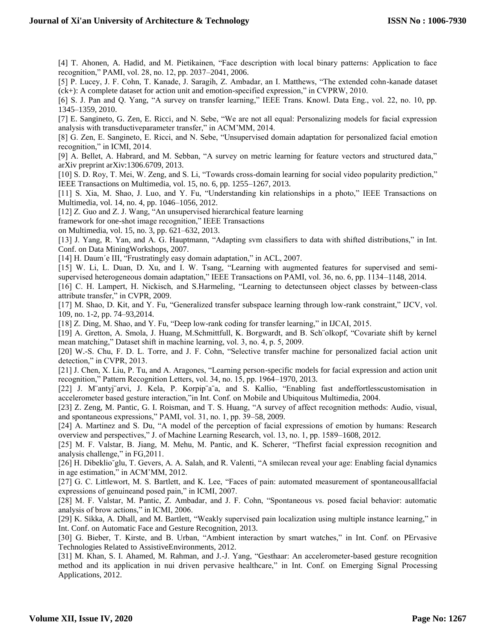[4] T. Ahonen, A. Hadid, and M. Pietikainen, "Face description with local binary patterns: Application to face recognition," PAMI, vol. 28, no. 12, pp. 2037–2041, 2006.

[5] P. Lucey, J. F. Cohn, T. Kanade, J. Saragih, Z. Ambadar, an I. Matthews, "The extended cohn-kanade dataset (ck+): A complete dataset for action unit and emotion-specified expression," in CVPRW, 2010.

[6] S. J. Pan and Q. Yang, "A survey on transfer learning," IEEE Trans. Knowl. Data Eng., vol. 22, no. 10, pp. 1345–1359, 2010.

[7] E. Sangineto, G. Zen, E. Ricci, and N. Sebe, "We are not all equal: Personalizing models for facial expression analysis with transductiveparameter transfer," in ACM'MM, 2014.

[8] G. Zen, E. Sangineto, E. Ricci, and N. Sebe, "Unsupervised domain adaptation for personalized facial emotion recognition," in ICMI, 2014.

[9] A. Bellet, A. Habrard, and M. Sebban, "A survey on metric learning for feature vectors and structured data," arXiv preprint arXiv:1306.6709, 2013.

[10] S. D. Roy, T. Mei, W. Zeng, and S. Li, "Towards cross-domain learning for social video popularity prediction," IEEE Transactions on Multimedia, vol. 15, no. 6, pp. 1255–1267, 2013.

[11] S. Xia, M. Shao, J. Luo, and Y. Fu, "Understanding kin relationships in a photo," IEEE Transactions on Multimedia, vol. 14, no. 4, pp. 1046–1056, 2012.

[12] Z. Guo and Z. J. Wang, "An unsupervised hierarchical feature learning

framework for one-shot image recognition," IEEE Transactions

on Multimedia, vol. 15, no. 3, pp. 621–632, 2013.

[13] J. Yang, R. Yan, and A. G. Hauptmann, "Adapting svm classifiers to data with shifted distributions," in Int. Conf. on Data MiningWorkshops, 2007.

[14] H. Daum'e III, "Frustratingly easy domain adaptation," in ACL, 2007.

[15] W. Li, L. Duan, D. Xu, and I. W. Tsang, "Learning with augmented features for supervised and semisupervised heterogeneous domain adaptation," IEEE Transactions on PAMI, vol. 36, no. 6, pp. 1134–1148, 2014.

[16] C. H. Lampert, H. Nickisch, and S.Harmeling, "Learning to detectunseen object classes by between-class attribute transfer," in CVPR, 2009.

[17] M. Shao, D. Kit, and Y. Fu, "Generalized transfer subspace learning through low-rank constraint," IJCV, vol. 109, no. 1-2, pp. 74–93,2014.

[18] Z. Ding, M. Shao, and Y. Fu, "Deep low-rank coding for transfer learning," in IJCAI, 2015.

[19] A. Gretton, A. Smola, J. Huang, M.Schmittfull, K. Borgwardt, and B. Sch¨olkopf, "Covariate shift by kernel mean matching," Dataset shift in machine learning, vol. 3, no. 4, p. 5, 2009.

[20] W.-S. Chu, F. D. L. Torre, and J. F. Cohn, "Selective transfer machine for personalized facial action unit detection," in CVPR, 2013.

[21] J. Chen, X. Liu, P. Tu, and A. Aragones, "Learning person-specific models for facial expression and action unit recognition," Pattern Recognition Letters, vol. 34, no. 15, pp. 1964–1970, 2013.

[22] J. M¨antyj¨arvi, J. Kela, P. Korpip¨a¨a, and S. Kallio, "Enabling fast andeffortlesscustomisation in accelerometer based gesture interaction,"in Int. Conf. on Mobile and Ubiquitous Multimedia, 2004.

[23] Z. Zeng, M. Pantic, G. I. Roisman, and T. S. Huang, "A survey of affect recognition methods: Audio, visual, and spontaneous expressions," PAMI, vol. 31, no. 1, pp. 39–58, 2009.

[24] A. Martinez and S. Du, "A model of the perception of facial expressions of emotion by humans: Research overview and perspectives," J. of Machine Learning Research, vol. 13, no. 1, pp. 1589–1608, 2012.

[25] M. F. Valstar, B. Jiang, M. Mehu, M. Pantic, and K. Scherer, "Thefirst facial expression recognition and analysis challenge," in FG,2011.

[26] H. Dibeklio˘glu, T. Gevers, A. A. Salah, and R. Valenti, "A smilecan reveal your age: Enabling facial dynamics in age estimation," in ACM'MM, 2012.

[27] G. C. Littlewort, M. S. Bartlett, and K. Lee, "Faces of pain: automated measurement of spontaneousallfacial expressions of genuineand posed pain," in ICMI, 2007.

[28] M. F. Valstar, M. Pantic, Z. Ambadar, and J. F. Cohn, "Spontaneous vs. posed facial behavior: automatic analysis of brow actions," in ICMI, 2006.

[29] K. Sikka, A. Dhall, and M. Bartlett, "Weakly supervised pain localization using multiple instance learning," in Int. Conf. on Automatic Face and Gesture Recognition, 2013.

[30] G. Bieber, T. Kirste, and B. Urban, "Ambient interaction by smart watches," in Int. Conf. on PErvasive Technologies Related to AssistiveEnvironments, 2012.

[31] M. Khan, S. I. Ahamed, M. Rahman, and J.-J. Yang, "Gesthaar: An accelerometer-based gesture recognition method and its application in nui driven pervasive healthcare," in Int. Conf. on Emerging Signal Processing Applications, 2012.